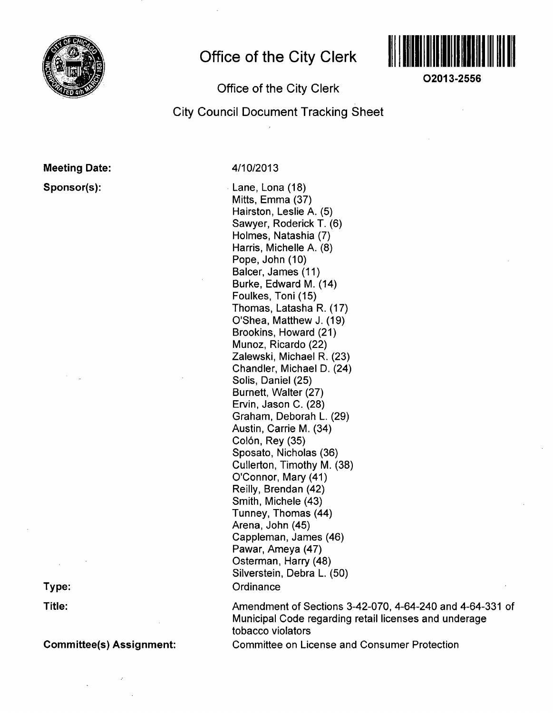

# **Office of the City Clerk**



**O2013-2556** 

## Office of the City Clerk

# City Council Document Tracking Sheet

## Meeting Date:

Sponsor(s):

4/10/2013

Lane, Lona (18) Mitts, Emma (37) Hairston, Leslie A. (5) Sawyer, Roderick T. (6) Holmes, Natashia (7) Harris, Michelle A. (8) Pope, John (10) Balcer, James (11) Burke, Edward M. (14) Foulkes, Toni (15) Thomas, Latasha R. (17) O'Shea, Matthew J. (19) Brookins, Howard (21) Munoz, Ricardo (22) Zalewski, Michael R. (23) Chandler, Michael D. (24) Solis, Daniel (25) Burnett, Walter (27) Ervin, Jason C. (28) Graham, Deborah L. (29) Austin, Carrie M. (34) Colón, Rey (35) Sposato, Nicholas (36) Cullerton, Timothy M. (38) O'Connor, Mary (41) Reilly, Brendan (42) Smith, Michele (43) Tunney, Thomas (44) Arena, John (45) Cappieman, James (46) Pawar, Ameya (47) Osterman, Harry (48) Silverstein, Debra L. (50) **Ordinance** 

Amendment of Sections 3-42-070, 4-64-240 and 4-64-331 of Municipal Code regarding retail licenses and underage tobacco violators Committee on License and Consumer Protection

**Type:** 

**Title:** 

Committee(s) Assignment: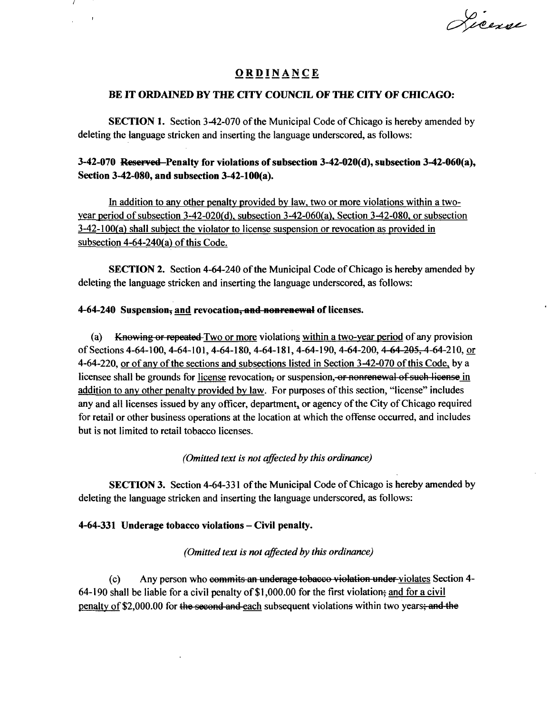Licence

## **ORDINANC E**

## **BE IT ORDAINED BY THE CITY COUNCIL OF THE CITY OF CHICAGO:**

SECTION 1. Section 3-42-070 of the Municipal Code of Chicago is hereby amended by deleting the language stricken and inserting the language underscored, as follows:

## **3-42-070 Reserved Penalty for violations of subsection 3-42-020(d), subsection 3-42-060(a), Section 3-42-080, and subsection 3-42-100(a).**

In addition to anv other penalty provided by law, two or more violations within a twoyear period of subsection 3-42-020(d). subsection 3-42-060(a). Section 3-42-080, or subsection  $3-42-100(a)$  shall subject the violator to license suspension or revocation as provided in subsection 4-64-240(a) of this Code.

SECTION 2. Section 4-64-240 of the Municipal Code of Chicago is hereby amended by deleting the language stricken and inserting the language underscored, as follows:

## **4- 64-240 Suspension^ and revocation, and nonrenewal of licenses.**

 $\mathbf{r}$ 

(a) Knowing or repeated Two or more violations within a two-year period of any provision of Sections 4-64-100, 4-64-101, 4-64-180, 4-64-181, 4-64-190, 4-64-200, 4-64-205, 4-64-210, or 4-64-220, or of any of the sections and subsections listed in Section 3-42-070 of this Code, by a licensee shall be grounds for license revocation, or suspension, or nonrenewal of such license in addition to any other penalty provided by law. For purposes of this section, "license" includes any and all licenses issued by any officer, department, or agency of the City of Chicago required for retail or other business operations at the location at which the offense occurred, and includes but is not limited to retail tobacco licenses.

## *(Omitted text is not affected by this ordinance)*

SECTION 3. Section 4-64-331 of the Municipal Code of Chicago is hereby amended by deleting the language stricken and inserting the language underscored, as follows:

## **4-64-331 Underage tobacco violations - Civil penalty.**

## *(Omitted text is not affected by this ordinance)*

(c) Any person who commits an underage tobacco violation under violates Section 4- 64-190 shall be liable for a civil penalty of  $$1,000.00$  for the first violation; and for a civil penalty of \$2,000.00 for the second and each subsequent violations within two years; and the